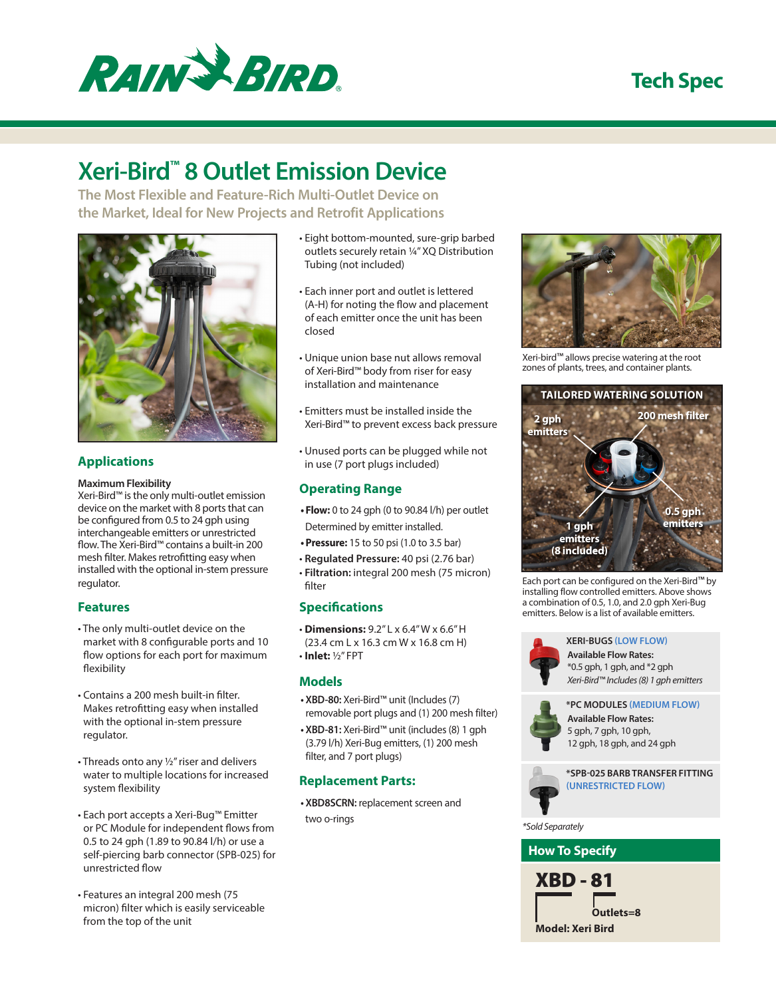

### **Tech Spec**

# **Xeri-Bird™ 8 Outlet Emission Device**

**The Most Flexible and Feature-Rich Multi-Outlet Device on the Market, Ideal for New Projects and Retrofit Applications**



### **Applications**

#### **Maximum Flexibility**

Xeri-Bird™ is the only multi-outlet emission device on the market with 8 ports that can be configured from 0.5 to 24 gph using interchangeable emitters or unrestricted flow. The Xeri-Bird™ contains a built-in 200 mesh filter. Makes retrofitting easy when installed with the optional in-stem pressure regulator.

#### **Features**

- The only multi-outlet device on the market with 8 configurable ports and 10 flow options for each port for maximum flexibility
- Contains a 200 mesh built-in filter. Makes retrofitting easy when installed with the optional in-stem pressure regulator.
- Threads onto any ½" riser and delivers water to multiple locations for increased system flexibility
- Each port accepts a Xeri-Bug™ Emitter or PC Module for independent flows from 0.5 to 24 gph (1.89 to 90.84 l/h) or use a self-piercing barb connector (SPB-025) for unrestricted flow
- Features an integral 200 mesh (75 micron) filter which is easily serviceable from the top of the unit
- Eight bottom-mounted, sure-grip barbed outlets securely retain ¼" XQ Distribution Tubing (not included)
- Each inner port and outlet is lettered (A-H) for noting the flow and placement of each emitter once the unit has been closed
- Unique union base nut allows removal of Xeri-Bird™ body from riser for easy installation and maintenance
- Emitters must be installed inside the Xeri-Bird™ to prevent excess back pressure
- Unused ports can be plugged while not in use (7 port plugs included)

#### **Operating Range**

- **• Flow:** 0 to 24 gph (0 to 90.84 l/h) per outlet Determined by emitter installed.
- **•Pressure:** 15 to 50 psi (1.0 to 3.5 bar)
- **Regulated Pressure:** 40 psi (2.76 bar)
- **Filtration:** integral 200 mesh (75 micron) filter

#### **Specifications**

- **Dimensions:** 9.2" L x 6.4" W x 6.6" H (23.4 cm L x 16.3 cm W x 16.8 cm H)
- **Inlet:** ½" FPT

#### **Models**

- **• XBD-80:** Xeri-Bird™ unit (Includes (7) removable port plugs and (1) 200 mesh filter)
- **• XBD-81:** Xeri-Bird™ unit (includes (8) 1 gph (3.79 l/h) Xeri-Bug emitters, (1) 200 mesh filter, and 7 port plugs)

#### **Replacement Parts:**

**• XBD8SCRN:** replacement screen and two o-rings



Xeri-bird™ allows precise watering at the root zones of plants, trees, and container plants.



Each port can be configured on the Xeri-Bird™ by installing flow controlled emitters. Above shows a combination of 0.5, 1.0, and 2.0 gph Xeri-Bug emitters. Below is a list of available emitters.



#### **XERI-BUGS (LOW FLOW)**

**Available Flow Rates:** \*0.5 gph, 1 gph, and \*2 gph *Xeri-Bird™ Includes (8) 1 gph emitters*



**Available Flow Rates:** 5 gph, 7 gph, 10 gph, 12 gph, 18 gph, and 24 gph **\*PC MODULES (MEDIUM FLOW)**